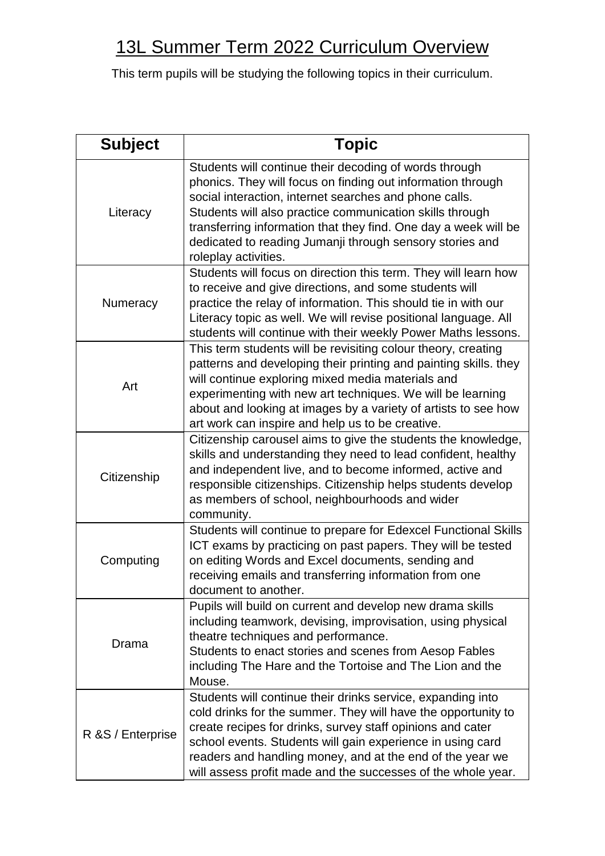## 13L Summer Term 2022 Curriculum Overview

This term pupils will be studying the following topics in their curriculum.

| <b>Subject</b>     | <b>Topic</b>                                                                                                                                                                                                                                                                                                                                                                                       |
|--------------------|----------------------------------------------------------------------------------------------------------------------------------------------------------------------------------------------------------------------------------------------------------------------------------------------------------------------------------------------------------------------------------------------------|
| Literacy           | Students will continue their decoding of words through<br>phonics. They will focus on finding out information through<br>social interaction, internet searches and phone calls.<br>Students will also practice communication skills through<br>transferring information that they find. One day a week will be<br>dedicated to reading Jumanji through sensory stories and<br>roleplay activities. |
| Numeracy           | Students will focus on direction this term. They will learn how<br>to receive and give directions, and some students will<br>practice the relay of information. This should tie in with our<br>Literacy topic as well. We will revise positional language. All<br>students will continue with their weekly Power Maths lessons.                                                                    |
| Art                | This term students will be revisiting colour theory, creating<br>patterns and developing their printing and painting skills. they<br>will continue exploring mixed media materials and<br>experimenting with new art techniques. We will be learning<br>about and looking at images by a variety of artists to see how<br>art work can inspire and help us to be creative.                         |
| Citizenship        | Citizenship carousel aims to give the students the knowledge,<br>skills and understanding they need to lead confident, healthy<br>and independent live, and to become informed, active and<br>responsible citizenships. Citizenship helps students develop<br>as members of school, neighbourhoods and wider<br>community.                                                                         |
| Computing          | Students will continue to prepare for Edexcel Functional Skills<br>ICT exams by practicing on past papers. They will be tested<br>on editing Words and Excel documents, sending and<br>receiving emails and transferring information from one<br>document to another.                                                                                                                              |
| Drama              | Pupils will build on current and develop new drama skills<br>including teamwork, devising, improvisation, using physical<br>theatre techniques and performance.<br>Students to enact stories and scenes from Aesop Fables<br>including The Hare and the Tortoise and The Lion and the<br>Mouse.                                                                                                    |
| R & S / Enterprise | Students will continue their drinks service, expanding into<br>cold drinks for the summer. They will have the opportunity to<br>create recipes for drinks, survey staff opinions and cater<br>school events. Students will gain experience in using card<br>readers and handling money, and at the end of the year we<br>will assess profit made and the successes of the whole year.              |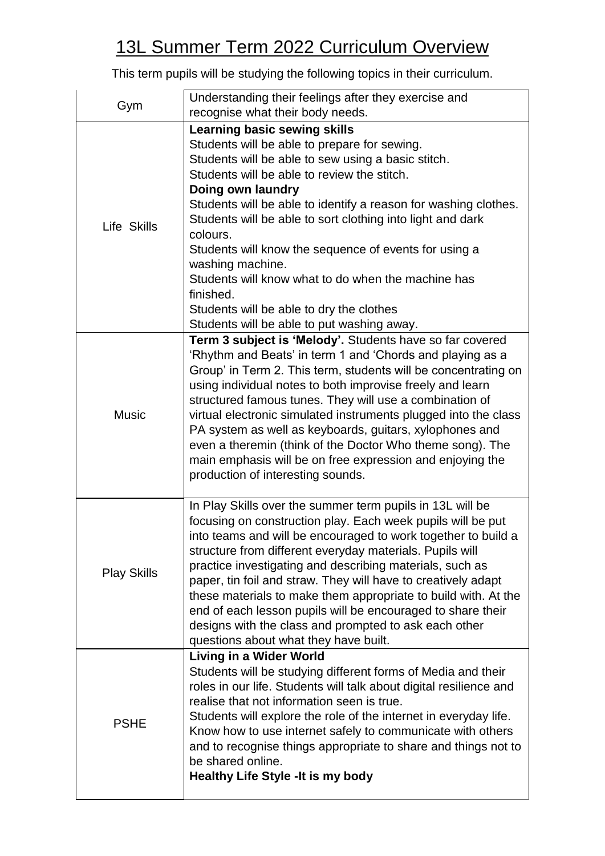## 13L Summer Term 2022 Curriculum Overview

This term pupils will be studying the following topics in their curriculum.

| Gym                | Understanding their feelings after they exercise and                                                                     |
|--------------------|--------------------------------------------------------------------------------------------------------------------------|
|                    | recognise what their body needs.                                                                                         |
| Life Skills        | <b>Learning basic sewing skills</b>                                                                                      |
|                    | Students will be able to prepare for sewing.                                                                             |
|                    | Students will be able to sew using a basic stitch.                                                                       |
|                    | Students will be able to review the stitch.                                                                              |
|                    | Doing own laundry                                                                                                        |
|                    | Students will be able to identify a reason for washing clothes.                                                          |
|                    | Students will be able to sort clothing into light and dark                                                               |
|                    | colours.<br>Students will know the sequence of events for using a                                                        |
|                    | washing machine.                                                                                                         |
|                    | Students will know what to do when the machine has                                                                       |
|                    | finished.                                                                                                                |
|                    | Students will be able to dry the clothes                                                                                 |
|                    | Students will be able to put washing away.                                                                               |
|                    | Term 3 subject is 'Melody'. Students have so far covered                                                                 |
|                    | 'Rhythm and Beats' in term 1 and 'Chords and playing as a                                                                |
|                    | Group' in Term 2. This term, students will be concentrating on                                                           |
|                    | using individual notes to both improvise freely and learn                                                                |
|                    | structured famous tunes. They will use a combination of                                                                  |
| <b>Music</b>       | virtual electronic simulated instruments plugged into the class                                                          |
|                    | PA system as well as keyboards, guitars, xylophones and                                                                  |
|                    | even a theremin (think of the Doctor Who theme song). The                                                                |
|                    | main emphasis will be on free expression and enjoying the                                                                |
|                    | production of interesting sounds.                                                                                        |
|                    |                                                                                                                          |
|                    | In Play Skills over the summer term pupils in 13L will be<br>focusing on construction play. Each week pupils will be put |
|                    | into teams and will be encouraged to work together to build a                                                            |
| <b>Play Skills</b> | structure from different everyday materials. Pupils will                                                                 |
|                    | practice investigating and describing materials, such as                                                                 |
|                    | paper, tin foil and straw. They will have to creatively adapt                                                            |
|                    | these materials to make them appropriate to build with. At the                                                           |
|                    | end of each lesson pupils will be encouraged to share their                                                              |
|                    | designs with the class and prompted to ask each other                                                                    |
|                    | questions about what they have built.                                                                                    |
| <b>PSHE</b>        | <b>Living in a Wider World</b>                                                                                           |
|                    | Students will be studying different forms of Media and their                                                             |
|                    | roles in our life. Students will talk about digital resilience and                                                       |
|                    | realise that not information seen is true.                                                                               |
|                    | Students will explore the role of the internet in everyday life.                                                         |
|                    | Know how to use internet safely to communicate with others                                                               |
|                    | and to recognise things appropriate to share and things not to                                                           |
|                    | be shared online.                                                                                                        |
|                    | <b>Healthy Life Style - It is my body</b>                                                                                |
|                    |                                                                                                                          |